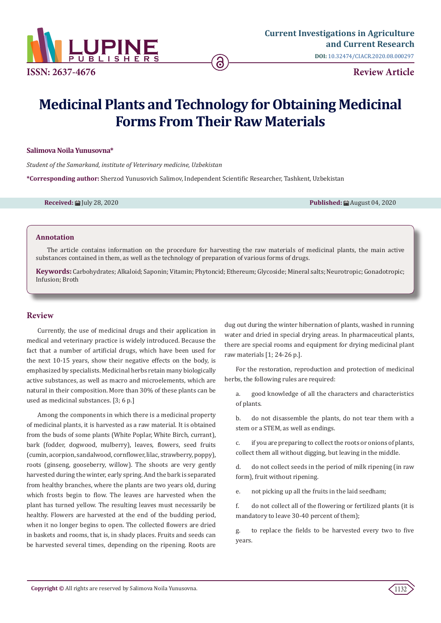

# **Medicinal Plants and Technology for Obtaining Medicinal Forms From Their Raw Materials**

#### **Salimova Noila Yunusovna\***

*Student of the Samarkand, institute of Veterinary medicine, Uzbekistan*

**\*Corresponding author:** Sherzod Yunusovich Salimov, Independent Scientific Researcher, Tashkent, Uzbekistan

**Received:** 的 July 28, 2020 **Published:** August 04, 2020 **Published:** August 04, 2020

#### **Annotation**

The article contains information on the procedure for harvesting the raw materials of medicinal plants, the main active substances contained in them, as well as the technology of preparation of various forms of drugs.

**Keywords:** Carbohydrates; Alkaloid; Saponin; Vitamin; Phytoncid; Ethereum; Glycoside; Mineral salts; Neurotropic; Gonadotropic; Infusion; Broth

# **Review**

Currently, the use of medicinal drugs and their application in medical and veterinary practice is widely introduced. Because the fact that a number of artificial drugs, which have been used for the next 10-15 years, show their negative effects on the body, is emphasized by specialists. Medicinal herbs retain many biologically active substances, as well as macro and microelements, which are natural in their composition. More than 30% of these plants can be used as medicinal substances. [3; 6 p.]

Among the components in which there is a medicinal property of medicinal plants, it is harvested as a raw material. It is obtained from the buds of some plants (White Poplar, White Birch, currant), bark (fodder, dogwood, mulberry), leaves, flowers, seed fruits (cumin, acorpion, sandalwood, cornflower, lilac, strawberry, poppy), roots (ginseng, gooseberry, willow). The shoots are very gently harvested during the winter, early spring. And the bark is separated from healthy branches, where the plants are two years old, during which frosts begin to flow. The leaves are harvested when the plant has turned yellow. The resulting leaves must necessarily be healthy. Flowers are harvested at the end of the budding period, when it no longer begins to open. The collected flowers are dried in baskets and rooms, that is, in shady places. Fruits and seeds can be harvested several times, depending on the ripening. Roots are

dug out during the winter hibernation of plants, washed in running water and dried in special drying areas. In pharmaceutical plants, there are special rooms and equipment for drying medicinal plant raw materials [1; 24-26 p.].

For the restoration, reproduction and protection of medicinal herbs, the following rules are required:

a. good knowledge of all the characters and characteristics of plants.

b. do not disassemble the plants, do not tear them with a stem or a STEM, as well as endings.

c. if you are preparing to collect the roots or onions of plants, collect them all without digging, but leaving in the middle.

d. do not collect seeds in the period of milk ripening (in raw form), fruit without ripening.

e. not picking up all the fruits in the laid seedham;

f. do not collect all of the flowering or fertilized plants (it is mandatory to leave 30-40 percent of them);

g. to replace the fields to be harvested every two to five years.

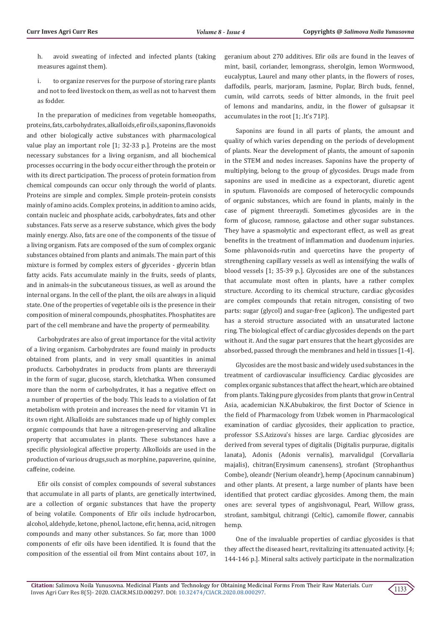- h. avoid sweating of infected and infected plants (taking measures against them).
- i. to organize reserves for the purpose of storing rare plants and not to feed livestock on them, as well as not to harvest them as fodder.

In the preparation of medicines from vegetable homeopaths, proteins, fats, carbohydrates, alkalloids, efir oils, saponins, flavonoids and other biologically active substances with pharmacological value play an important role [1; 32-33 p.]. Proteins are the most necessary substances for a living organism, and all biochemical processes occurring in the body occur either through the protein or with its direct participation. The process of protein formation from chemical compounds can occur only through the world of plants. Proteins are simple and complex. Simple protein-protein consists mainly of amino acids. Complex proteins, in addition to amino acids, contain nucleic and phosphate acids, carbohydrates, fats and other substances. Fats serve as a reserve substance, which gives the body mainly energy. Also, fats are one of the components of the tissue of a living organism. Fats are composed of the sum of complex organic substances obtained from plants and animals. The main part of this mixture is formed by complex esters of glycerides - glycerin btlan fatty acids. Fats accumulate mainly in the fruits, seeds of plants, and in animals-in the subcutaneous tissues, as well as around the internal organs. In the cell of the plant, the oils are always in a liquid state. One of the properties of vegetable oils is the presence in their composition of mineral compounds, phosphatites. Phosphatites are part of the cell membrane and have the property of permeability.

Carbohydrates are also of great importance for the vital activity of a living organism. Carbohydrates are found mainly in products obtained from plants, and in very small quantities in animal products. Carbohydrates in products from plants are threeraydi in the form of sugar, glucose, starch, kletchatka. When consumed more than the norm of carbohydrates, it has a negative effect on a number of properties of the body. This leads to a violation of fat metabolism with protein and increases the need for vitamin V1 in its own right. Alkalloids are substances made up of highly complex organic compounds that have a nitrogen-preserving and alkaline property that accumulates in plants. These substances have a specific physiological affective property. Alkolloids are used in the production of various drugs,such as morphine, papaverine, quinine, caffeine, codeine.

Efir oils consist of complex compounds of several substances that accumulate in all parts of plants, are genetically intertwined, are a collection of organic substances that have the property of being volatile. Components of Efir oils include hydrocarbon, alcohol, aldehyde, ketone, phenol, lactone, efir, henna, acid, nitrogen compounds and many other substances. So far, more than 1000 components of efir oils have been identified. It is found that the composition of the essential oil from Mint contains about 107, in

geranium about 270 additives. Efir oils are found in the leaves of mint, basil, coriander, lemongrass, sherolgin, lemon Wormwood, eucalyptus, Laurel and many other plants, in the flowers of roses, daffodils, pearls, marjoram, Jasmine, Poplar, Birch buds, fennel, cumin, wild carrots, seeds of bitter almonds, in the fruit peel of lemons and mandarins, andiz, in the flower of gulsapsar it accumulates in the root [1; .It's 71P.].

Saponins are found in all parts of plants, the amount and quality of which varies depending on the periods of development of plants. Near the development of plants, the amount of saponin in the STEM and nodes increases. Saponins have the property of multiplying, belong to the group of glycosides. Drugs made from saponins are used in medicine as a expectorant, diuretic agent in sputum. Flavonoids are composed of heterocyclic compounds of organic substances, which are found in plants, mainly in the case of pigment threeraydi. Sometimes glycosides are in the form of glucose, ramnose, galactose and other sugar substances. They have a spasmolytic and expectorant effect, as well as great benefits in the treatment of inflammation and duodenum injuries. Some phlavonoids-rutin and quercetins have the property of strengthening capillary vessels as well as intensifying the walls of blood vessels [1; 35-39 p.]. Glycosides are one of the substances that accumulate most often in plants, have a rather complex structure. According to its chemical structure, cardiac glycosides are complex compounds that retain nitrogen, consisting of two parts: sugar (glycol) and sugar-free (aglicon). The undigested part has a steroid structure associated with an unsaturated lactone ring. The biological effect of cardiac glycosides depends on the part without it. And the sugar part ensures that the heart glycosides are absorbed, passed through the membranes and held in tissues [1-4].

Glycosides are the most basic and widely used substances in the treatment of cardiovascular insufficiency. Cardiac glycosides are complex organic substances that affect the heart, which are obtained from plants. Taking pure glycosides from plants that grow in Central Asia, academician N.K.Abubakirov, the first Doctor of Science in the field of Pharmacology from Uzbek women in Pharmacological examination of cardiac glycosides, their application to practice, professor S.S.Azizova's hisses are large. Cardiac glycosides are derived from several types of digitalis (Digitalis purpurae, digitalis lanata), Adonis (Adonis vernalis), marvalidgul (Corvallaria majalis), chitran(Erysimum canensens), strofant (Strophanthus Combe), oleandr (Nerium oleandr), hemp (Apocinum cannabinum) and other plants. At present, a large number of plants have been identified that protect cardiac glycosides. Among them, the main ones are: several types of angishvonagul, Pearl, Willow grass, strofant, sambitgul, chitrangi (Celtic), camomile flower, cannabis hemp.

One of the invaluable properties of cardiac glycosides is that they affect the diseased heart, revitalizing its attenuated activity. [4; 144-146 p.]. Mineral salts actively participate in the normalization

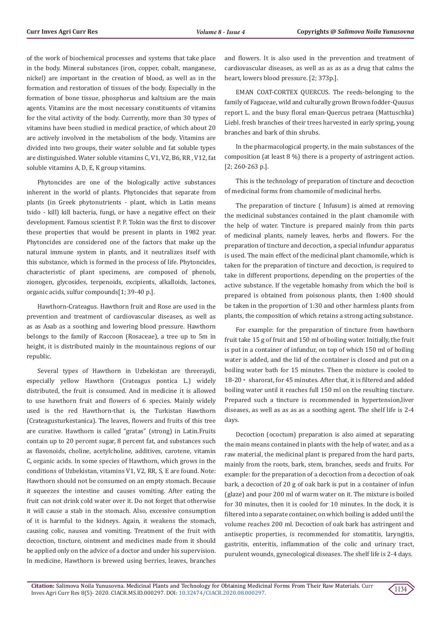of the work of biochemical processes and systems that take place in the body. Mineral substances (iron, copper, cobalt, manganese, nickel) are important in the creation of blood, as well as in the formation and restoration of tissues of the body. Especially in the formation of bone tissue, phosphorus and kaltsium are the main agents. Vitamins are the most necessary constituents of vitamins for the vital activity of the body. Currently, more than 30 types of vitamins have been studied in medical practice, of which about 20 are actively involved in the metabolism of the body. Vitamins are divided into two groups, their water soluble and fat soluble types are distinguished. Water soluble vitamins C, V1, V2, B6, RR , V12, fat soluble vitamins A, D, E, K group vitamins.

Phytoncides are one of the biologically active substances inherent in the world of plants. Phytoncides that separate from plants (in Greek phytonutrients - plant, which in Latin means tsido - kill) kill bacteria, fungi, or have a negative effect on their development. Famous scientist P. P. Tokin was the first to discover these properties that would be present in plants in 1982 year. Phytoncides are considered one of the factors that make up the natural immune system in plants, and it neutralizes itself with this substance, which is formed in the process of life. Phytoncides, characteristic of plant specimens, are composed of phenols, zionogen, glycosides, terpenoids, excipients, alkalloids, lactones, organic acids, sulfur compounds[1; 39-40 p.].

Hawthorn-Crateagus. Hawthorn fruit and Rose are used in the prevention and treatment of cardiovascular diseases, as well as as as Asab as a soothing and lowering blood pressure. Hawthorn belongs to the family of Raccoon (Rosaceae), a tree up to 5m in height, it is distributed mainly in the mountainous regions of our republic.

Several types of Hawthorn in Uzbekistan are threeraydi, especially yellow Hawthorn (Crateagus pontica L.) widely distributed, the fruit is consumed. And in medicine it is allowed to use hawthorn fruit and flowers of 6 species. Mainly widely used is the red Hawthorn-that is, the Turkistan Hawthorn (Crateagusturkestanica). The leaves, flowers and fruits of this tree are curative. Hawthorn is called "gratas" (strong) in Latin.Fruits contain up to 20 percent sugar, 8 percent fat, and substances such as flavonoids, choline, acetylcholine, additives, carotene, vitamin C, organic acids. In some species of Hawthorn, which grows in the conditions of Uzbekistan, vitamins V1, V2, RR, S, E are found. Note: Hawthorn should not be consumed on an empty stomach. Because it squeezes the intestine and causes vomiting. After eating the fruit can not drink cold water over it. Do not forget that otherwise it will cause a stab in the stomach. Also, excessive consumption of it is harmful to the kidneys. Again, it weakens the stomach, causing colic, nausea and vomiting. Treatment of the fruit with decoction, tincture, ointment and medicines made from it should be applied only on the advice of a doctor and under his supervision. In medicine, Hawthorn is brewed using berries, leaves, branches

and flowers. It is also used in the prevention and treatment of cardiovascular diseases, as well as as as as a drug that calms the heart, lowers blood pressure. [2; 373p.].

EMAN COAT-CORTEX QUERCUS. The reeds-belonging to the family of Fagaceae, wild and culturally grown Brown fodder-Quusus report L. and the busy floral eman-Quercus petraea (Mattuschka) Liebl. fresh branches of their trees harvested in early spring, young branches and bark of thin shrubs.

In the pharmacological property, in the main substances of the composition (at least 8 %) there is a property of astringent action. [2; 260-263 p.].

This is the technology of preparation of tincture and decoction of medicinal forms from chamomile of medicinal herbs.

The preparation of tincture ( Infusum) is aimed at removing the medicinal substances contained in the plant chamomile with the help of water. Tincture is prepared mainly from thin parts of medicinal plants, namely leaves, herbs and flowers. For the preparation of tincture and decoction, a special infundur apparatus is used. The main effect of the medicinal plant chamomile, which is taken for the preparation of tincture and decoction, is required to take in different proportions, depending on the properties of the active substance. If the vegetable homashy from which the boil is prepared is obtained from poisonous plants, then 1:400 should be taken in the proportion of 1:30 and other harmless plants from plants, the composition of which retains a strong acting substance.

For example: for the preparation of tincture from hawthorn fruit take 15 g of fruit and 150 ml of boiling water. Initially, the fruit is put in a container of infundur, on top of which 150 ml of boiling water is added, and the lid of the container is closed and put on a boiling water bath for 15 minutes. Then the mixture is cooled to 18-20◦ sharorat, for 45 minutes. After that, it is filtered and added boiling water until it reaches full 150 ml on the resulting tincture. Prepared such a tincture is recommended in hypertension,liver diseases, as well as as as as a soothing agent. The shelf life is 2-4 days.

Decoction (ococtum) preparation is also aimed at separating the main means contained in plants with the help of water, and as a raw material, the medicinal plant is prepared from the hard parts, mainly from the roots, bark, stem, branches, seeds and fruits. For example: for the preparation of a decoction from a decoction of oak bark, a decoction of 20 g of oak bark is put in a container of infun (glaze) and pour 200 ml of warm water on it. The mixture is boiled for 30 minutes, then it is cooled for 10 minutes. In the dock, it is filtered into a separate container, on which boiling is added until the volume reaches 200 ml. Decoction of oak bark has astringent and antiseptic properties, is recommended for stomatitis, laryngitis, gastritis, enteritis, inflammation of the colic and urinary tract, purulent wounds, gynecological diseases. The shelf life is 2-4 days.